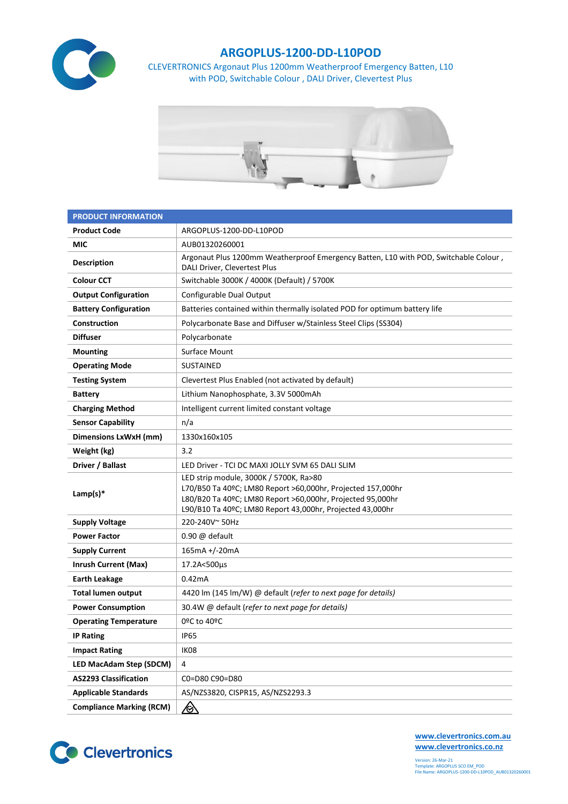

## **ARGOPLUS-1200-DD-L10POD**

CLEVERTRONICS Argonaut Plus 1200mm Weatherproof Emergency Batten, L10 with POD, Switchable Colour , DALI Driver, Clevertest Plus



| <b>PRODUCT INFORMATION</b>      |                                                                                                                                                                                                                                  |  |  |  |
|---------------------------------|----------------------------------------------------------------------------------------------------------------------------------------------------------------------------------------------------------------------------------|--|--|--|
| <b>Product Code</b>             | ARGOPLUS-1200-DD-L10POD                                                                                                                                                                                                          |  |  |  |
| MIC                             | AUB01320260001                                                                                                                                                                                                                   |  |  |  |
| <b>Description</b>              | Argonaut Plus 1200mm Weatherproof Emergency Batten, L10 with POD, Switchable Colour,<br>DALI Driver, Clevertest Plus                                                                                                             |  |  |  |
| <b>Colour CCT</b>               | Switchable 3000K / 4000K (Default) / 5700K                                                                                                                                                                                       |  |  |  |
| <b>Output Configuration</b>     | Configurable Dual Output                                                                                                                                                                                                         |  |  |  |
| <b>Battery Configuration</b>    | Batteries contained within thermally isolated POD for optimum battery life                                                                                                                                                       |  |  |  |
| Construction                    | Polycarbonate Base and Diffuser w/Stainless Steel Clips (SS304)                                                                                                                                                                  |  |  |  |
| <b>Diffuser</b>                 | Polycarbonate                                                                                                                                                                                                                    |  |  |  |
| <b>Mounting</b>                 | Surface Mount                                                                                                                                                                                                                    |  |  |  |
| <b>Operating Mode</b>           | <b>SUSTAINED</b>                                                                                                                                                                                                                 |  |  |  |
| <b>Testing System</b>           | Clevertest Plus Enabled (not activated by default)                                                                                                                                                                               |  |  |  |
| <b>Battery</b>                  | Lithium Nanophosphate, 3.3V 5000mAh                                                                                                                                                                                              |  |  |  |
| <b>Charging Method</b>          | Intelligent current limited constant voltage                                                                                                                                                                                     |  |  |  |
| <b>Sensor Capability</b>        | n/a                                                                                                                                                                                                                              |  |  |  |
| <b>Dimensions LxWxH (mm)</b>    | 1330x160x105                                                                                                                                                                                                                     |  |  |  |
| Weight (kg)                     | 3.2                                                                                                                                                                                                                              |  |  |  |
| Driver / Ballast                | LED Driver - TCI DC MAXI JOLLY SVM 65 DALI SLIM                                                                                                                                                                                  |  |  |  |
| Lamp(s) $*$                     | LED strip module, 3000K / 5700K, Ra>80<br>L70/B50 Ta 40ºC; LM80 Report >60,000hr, Projected 157,000hr<br>L80/B20 Ta 40ºC; LM80 Report >60,000hr, Projected 95,000hr<br>L90/B10 Ta 40ºC; LM80 Report 43,000hr, Projected 43,000hr |  |  |  |
| <b>Supply Voltage</b>           | 220-240V~50Hz                                                                                                                                                                                                                    |  |  |  |
| <b>Power Factor</b>             | 0.90 @ default                                                                                                                                                                                                                   |  |  |  |
| <b>Supply Current</b>           | 165mA +/-20mA                                                                                                                                                                                                                    |  |  |  |
| <b>Inrush Current (Max)</b>     | 17.2A<500µs                                                                                                                                                                                                                      |  |  |  |
| <b>Earth Leakage</b>            | 0.42mA                                                                                                                                                                                                                           |  |  |  |
| <b>Total lumen output</b>       | 4420 lm (145 lm/W) @ default (refer to next page for details)                                                                                                                                                                    |  |  |  |
| <b>Power Consumption</b>        | 30.4W @ default (refer to next page for details)                                                                                                                                                                                 |  |  |  |
| <b>Operating Temperature</b>    | 0ºC to 40ºC                                                                                                                                                                                                                      |  |  |  |
| <b>IP Rating</b>                | <b>IP65</b>                                                                                                                                                                                                                      |  |  |  |
| <b>Impact Rating</b>            | IK08                                                                                                                                                                                                                             |  |  |  |
| <b>LED MacAdam Step (SDCM)</b>  | 4                                                                                                                                                                                                                                |  |  |  |
| <b>AS2293 Classification</b>    | C0=D80 C90=D80                                                                                                                                                                                                                   |  |  |  |
| <b>Applicable Standards</b>     | AS/NZS3820, CISPR15, AS/NZS2293.3                                                                                                                                                                                                |  |  |  |
| <b>Compliance Marking (RCM)</b> | <u>/&amp;</u>                                                                                                                                                                                                                    |  |  |  |



**[www.clevertronics.com.au](http://www.clevertronics.com.au/) www.clevertronics.co.nz**

Version: 26-Mar-21 Template: ARGOPLUS SCO EM\_POD File Name: ARGOPLUS-1200-DD-L10POD\_AUB01320260001